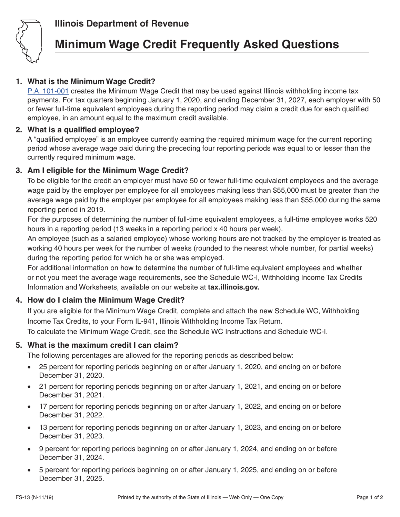

## **Illinois Department of Revenue**

# **Minimum Wage Credit Frequently Asked Questions**

### **1. What is the Minimum Wage Credit?**

[P.A. 101-001](http://www.ilga.gov/legislation/publicacts/101/PDF/101-0001.pdf) creates the Minimum Wage Credit that may be used against Illinois withholding income tax payments. For tax quarters beginning January 1, 2020, and ending December 31, 2027, each employer with 50 or fewer full-time equivalent employees during the reporting period may claim a credit due for each qualified employee, in an amount equal to the maximum credit available.

#### **2. What is a qualified employee?**

A "qualified employee" is an employee currently earning the required minimum wage for the current reporting period whose average wage paid during the preceding four reporting periods was equal to or lesser than the currently required minimum wage.

#### **3. Am I eligible for the Minimum Wage Credit?**

To be eligible for the credit an employer must have 50 or fewer full-time equivalent employees and the average wage paid by the employer per employee for all employees making less than \$55,000 must be greater than the average wage paid by the employer per employee for all employees making less than \$55,000 during the same reporting period in 2019.

For the purposes of determining the number of full-time equivalent employees, a full-time employee works 520 hours in a reporting period (13 weeks in a reporting period x 40 hours per week).

An employee (such as a salaried employee) whose working hours are not tracked by the employer is treated as working 40 hours per week for the number of weeks (rounded to the nearest whole number, for partial weeks) during the reporting period for which he or she was employed.

For additional information on how to determine the number of full-time equivalent employees and whether or not you meet the average wage requirements, see the Schedule WC-I, Withholding Income Tax Credits Information and Worksheets, available on our website at **tax.illinois.gov.**

#### **4. How do I claim the Minimum Wage Credit?**

If you are eligible for the Minimum Wage Credit, complete and attach the new Schedule WC, Withholding Income Tax Credits, to your Form IL-941, Illinois Withholding Income Tax Return.

To calculate the Minimum Wage Credit, see the Schedule WC Instructions and Schedule WC-I.

#### **5. What is the maximum credit I can claim?**

The following percentages are allowed for the reporting periods as described below:

- 25 percent for reporting periods beginning on or after January 1, 2020, and ending on or before December 31, 2020.
- 21 percent for reporting periods beginning on or after January 1, 2021, and ending on or before December 31, 2021.
- 17 percent for reporting periods beginning on or after January 1, 2022, and ending on or before December 31, 2022.
- 13 percent for reporting periods beginning on or after January 1, 2023, and ending on or before December 31, 2023.
- 9 percent for reporting periods beginning on or after January 1, 2024, and ending on or before December 31, 2024.
- 5 percent for reporting periods beginning on or after January 1, 2025, and ending on or before December 31, 2025.